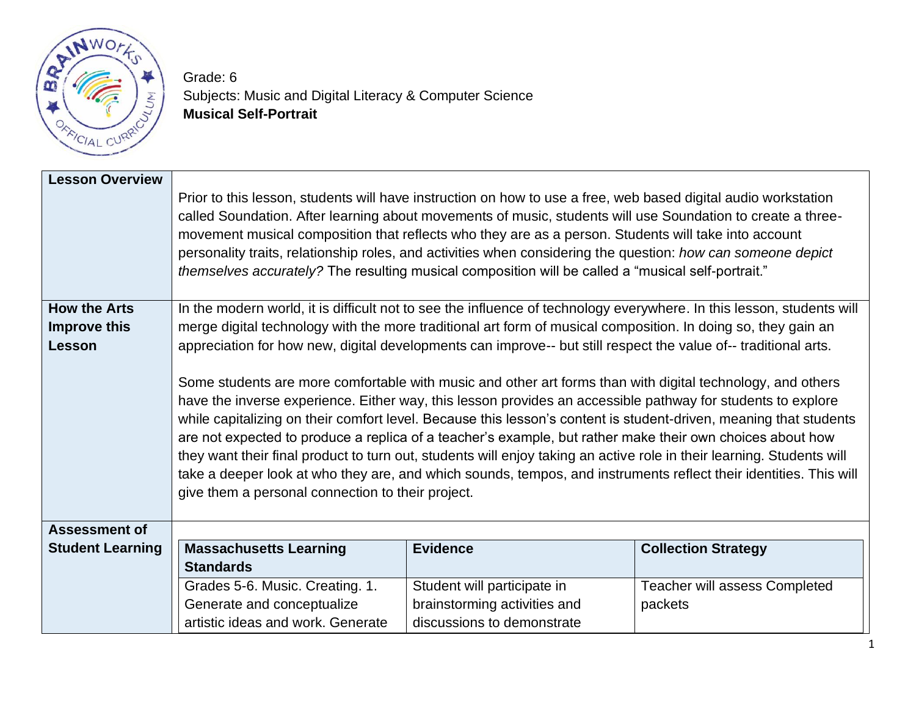

Grade: 6 Subjects: Music and Digital Literacy & Computer Science **Musical Self-Portrait**

| <b>Lesson Overview</b>  | Prior to this lesson, students will have instruction on how to use a free, web based digital audio workstation<br>called Soundation. After learning about movements of music, students will use Soundation to create a three-<br>movement musical composition that reflects who they are as a person. Students will take into account<br>personality traits, relationship roles, and activities when considering the question: how can someone depict<br>themselves accurately? The resulting musical composition will be called a "musical self-portrait." |                              |                                                                                                                                                                                                                                        |
|-------------------------|-------------------------------------------------------------------------------------------------------------------------------------------------------------------------------------------------------------------------------------------------------------------------------------------------------------------------------------------------------------------------------------------------------------------------------------------------------------------------------------------------------------------------------------------------------------|------------------------------|----------------------------------------------------------------------------------------------------------------------------------------------------------------------------------------------------------------------------------------|
| <b>How the Arts</b>     |                                                                                                                                                                                                                                                                                                                                                                                                                                                                                                                                                             |                              | In the modern world, it is difficult not to see the influence of technology everywhere. In this lesson, students will                                                                                                                  |
| <b>Improve this</b>     | merge digital technology with the more traditional art form of musical composition. In doing so, they gain an                                                                                                                                                                                                                                                                                                                                                                                                                                               |                              |                                                                                                                                                                                                                                        |
| Lesson                  | appreciation for how new, digital developments can improve-- but still respect the value of-- traditional arts.                                                                                                                                                                                                                                                                                                                                                                                                                                             |                              |                                                                                                                                                                                                                                        |
|                         | Some students are more comfortable with music and other art forms than with digital technology, and others<br>have the inverse experience. Either way, this lesson provides an accessible pathway for students to explore<br>are not expected to produce a replica of a teacher's example, but rather make their own choices about how<br>they want their final product to turn out, students will enjoy taking an active role in their learning. Students will<br>give them a personal connection to their project.                                        |                              | while capitalizing on their comfort level. Because this lesson's content is student-driven, meaning that students<br>take a deeper look at who they are, and which sounds, tempos, and instruments reflect their identities. This will |
| <b>Assessment of</b>    |                                                                                                                                                                                                                                                                                                                                                                                                                                                                                                                                                             |                              |                                                                                                                                                                                                                                        |
| <b>Student Learning</b> | <b>Massachusetts Learning</b><br><b>Standards</b>                                                                                                                                                                                                                                                                                                                                                                                                                                                                                                           | <b>Evidence</b>              | <b>Collection Strategy</b>                                                                                                                                                                                                             |
|                         | Grades 5-6. Music. Creating. 1.                                                                                                                                                                                                                                                                                                                                                                                                                                                                                                                             | Student will participate in  | Teacher will assess Completed                                                                                                                                                                                                          |
|                         | Generate and conceptualize                                                                                                                                                                                                                                                                                                                                                                                                                                                                                                                                  | brainstorming activities and | packets                                                                                                                                                                                                                                |
|                         | artistic ideas and work. Generate                                                                                                                                                                                                                                                                                                                                                                                                                                                                                                                           | discussions to demonstrate   |                                                                                                                                                                                                                                        |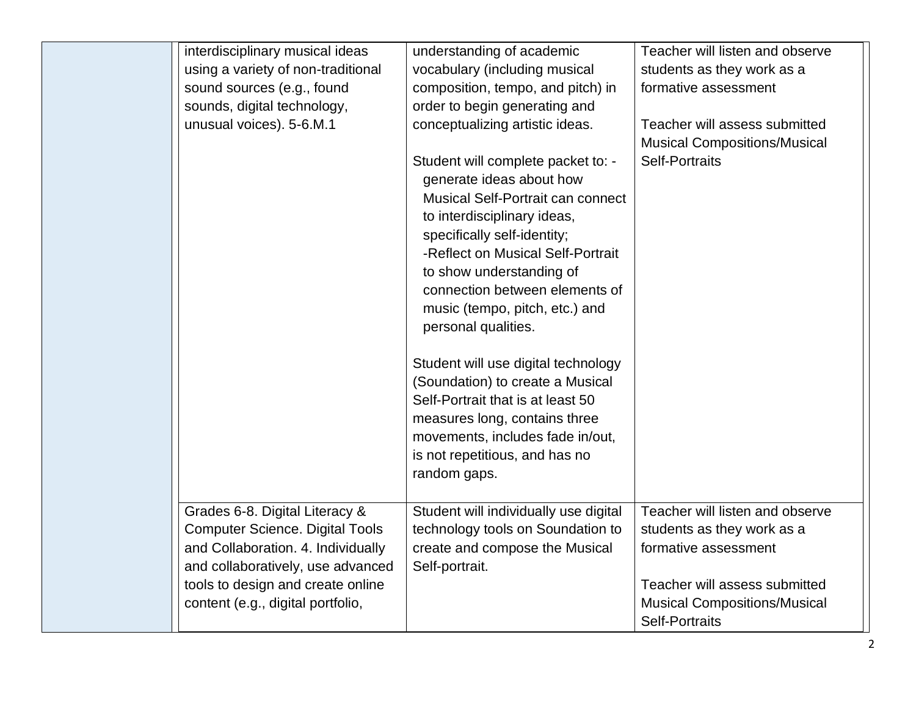| interdisciplinary musical ideas        | understanding of academic             | Teacher will listen and observe     |
|----------------------------------------|---------------------------------------|-------------------------------------|
| using a variety of non-traditional     | vocabulary (including musical         | students as they work as a          |
| sound sources (e.g., found             | composition, tempo, and pitch) in     | formative assessment                |
| sounds, digital technology,            | order to begin generating and         |                                     |
| unusual voices). 5-6.M.1               | conceptualizing artistic ideas.       | Teacher will assess submitted       |
|                                        |                                       | <b>Musical Compositions/Musical</b> |
|                                        | Student will complete packet to: -    | <b>Self-Portraits</b>               |
|                                        | generate ideas about how              |                                     |
|                                        | Musical Self-Portrait can connect     |                                     |
|                                        | to interdisciplinary ideas,           |                                     |
|                                        | specifically self-identity;           |                                     |
|                                        | -Reflect on Musical Self-Portrait     |                                     |
|                                        | to show understanding of              |                                     |
|                                        | connection between elements of        |                                     |
|                                        | music (tempo, pitch, etc.) and        |                                     |
|                                        | personal qualities.                   |                                     |
|                                        |                                       |                                     |
|                                        | Student will use digital technology   |                                     |
|                                        | (Soundation) to create a Musical      |                                     |
|                                        | Self-Portrait that is at least 50     |                                     |
|                                        | measures long, contains three         |                                     |
|                                        | movements, includes fade in/out,      |                                     |
|                                        | is not repetitious, and has no        |                                     |
|                                        | random gaps.                          |                                     |
|                                        |                                       |                                     |
| Grades 6-8. Digital Literacy &         | Student will individually use digital | Teacher will listen and observe     |
| <b>Computer Science. Digital Tools</b> | technology tools on Soundation to     | students as they work as a          |
| and Collaboration. 4. Individually     | create and compose the Musical        | formative assessment                |
| and collaboratively, use advanced      | Self-portrait.                        |                                     |
| tools to design and create online      |                                       | Teacher will assess submitted       |
| content (e.g., digital portfolio,      |                                       | <b>Musical Compositions/Musical</b> |
|                                        |                                       | <b>Self-Portraits</b>               |
|                                        |                                       |                                     |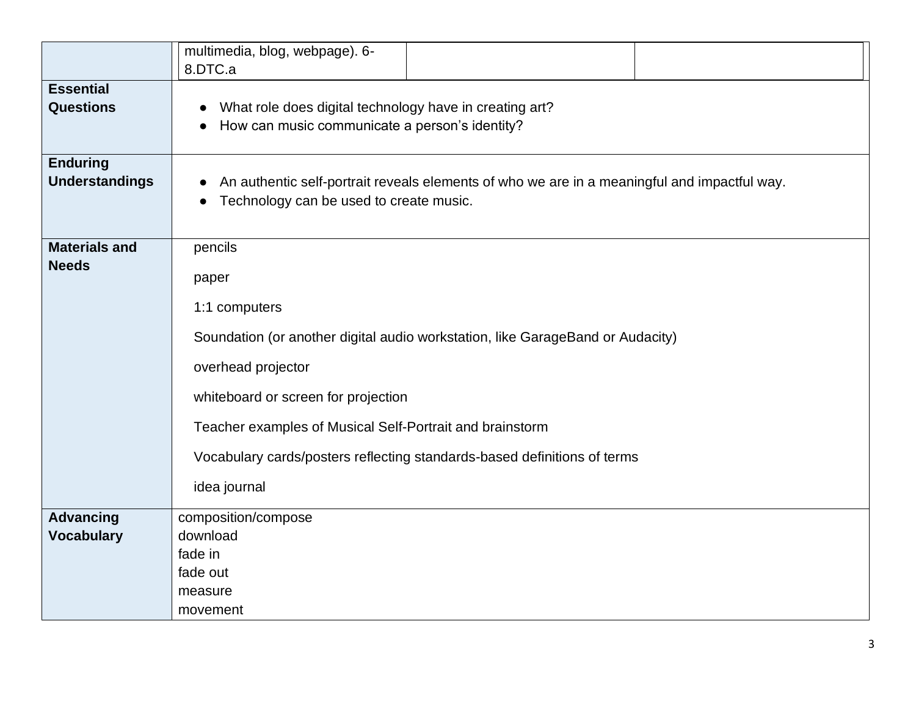|                                          | multimedia, blog, webpage). 6-<br>8.DTC.a                                                                                                                                                                                                                                                                                                |  |  |
|------------------------------------------|------------------------------------------------------------------------------------------------------------------------------------------------------------------------------------------------------------------------------------------------------------------------------------------------------------------------------------------|--|--|
| <b>Essential</b><br><b>Questions</b>     | What role does digital technology have in creating art?<br>How can music communicate a person's identity?                                                                                                                                                                                                                                |  |  |
| <b>Enduring</b><br><b>Understandings</b> | An authentic self-portrait reveals elements of who we are in a meaningful and impactful way.<br>Technology can be used to create music.                                                                                                                                                                                                  |  |  |
| <b>Materials and</b><br><b>Needs</b>     | pencils<br>paper<br>1:1 computers<br>Soundation (or another digital audio workstation, like GarageBand or Audacity)<br>overhead projector<br>whiteboard or screen for projection<br>Teacher examples of Musical Self-Portrait and brainstorm<br>Vocabulary cards/posters reflecting standards-based definitions of terms<br>idea journal |  |  |
| <b>Advancing</b><br><b>Vocabulary</b>    | composition/compose<br>download<br>fade in<br>fade out<br>measure<br>movement                                                                                                                                                                                                                                                            |  |  |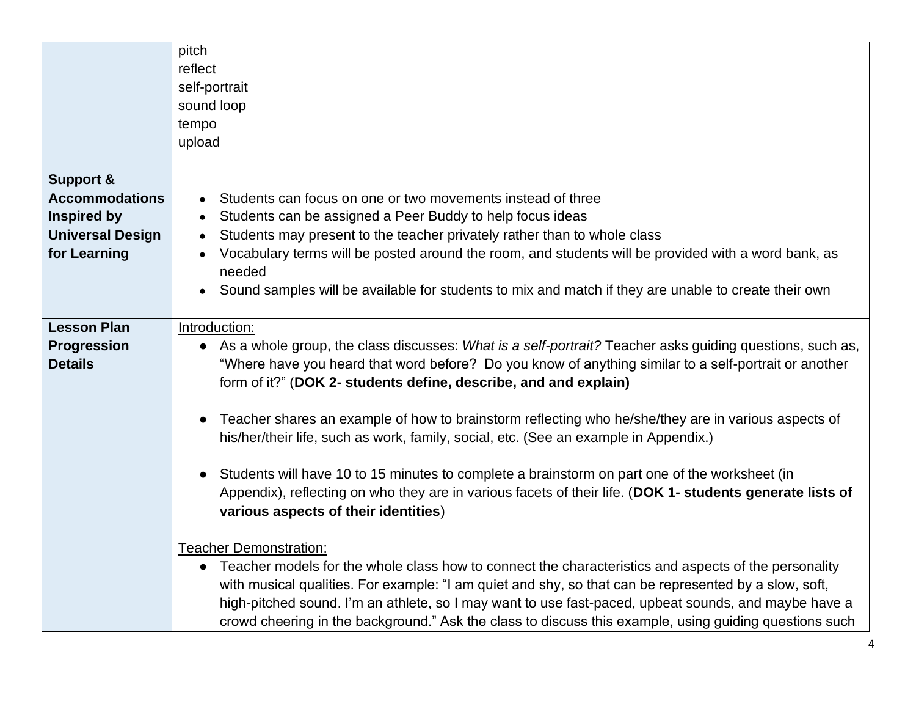|                               | pitch                                                                                                                                                                                                                                                                                              |
|-------------------------------|----------------------------------------------------------------------------------------------------------------------------------------------------------------------------------------------------------------------------------------------------------------------------------------------------|
|                               | reflect                                                                                                                                                                                                                                                                                            |
|                               | self-portrait                                                                                                                                                                                                                                                                                      |
|                               | sound loop                                                                                                                                                                                                                                                                                         |
|                               | tempo                                                                                                                                                                                                                                                                                              |
|                               | upload                                                                                                                                                                                                                                                                                             |
|                               |                                                                                                                                                                                                                                                                                                    |
| <b>Support &amp;</b>          |                                                                                                                                                                                                                                                                                                    |
| <b>Accommodations</b>         | Students can focus on one or two movements instead of three                                                                                                                                                                                                                                        |
| <b>Inspired by</b>            | Students can be assigned a Peer Buddy to help focus ideas<br>$\bullet$                                                                                                                                                                                                                             |
| <b>Universal Design</b>       | Students may present to the teacher privately rather than to whole class<br>$\bullet$                                                                                                                                                                                                              |
| for Learning                  | Vocabulary terms will be posted around the room, and students will be provided with a word bank, as<br>$\bullet$<br>needed                                                                                                                                                                         |
|                               | Sound samples will be available for students to mix and match if they are unable to create their own                                                                                                                                                                                               |
| <b>Lesson Plan</b>            | Introduction:                                                                                                                                                                                                                                                                                      |
| Progression<br><b>Details</b> | As a whole group, the class discusses: What is a self-portrait? Teacher asks guiding questions, such as,<br>$\bullet$<br>"Where have you heard that word before? Do you know of anything similar to a self-portrait or another<br>form of it?" (DOK 2- students define, describe, and and explain) |
|                               | Teacher shares an example of how to brainstorm reflecting who he/she/they are in various aspects of<br>$\bullet$<br>his/her/their life, such as work, family, social, etc. (See an example in Appendix.)                                                                                           |
|                               | Students will have 10 to 15 minutes to complete a brainstorm on part one of the worksheet (in<br>$\bullet$<br>Appendix), reflecting on who they are in various facets of their life. (DOK 1- students generate lists of<br>various aspects of their identities)                                    |
|                               | <b>Teacher Demonstration:</b>                                                                                                                                                                                                                                                                      |
|                               | Teacher models for the whole class how to connect the characteristics and aspects of the personality<br>$\bullet$                                                                                                                                                                                  |
|                               | with musical qualities. For example: "I am quiet and shy, so that can be represented by a slow, soft,                                                                                                                                                                                              |
|                               | high-pitched sound. I'm an athlete, so I may want to use fast-paced, upbeat sounds, and maybe have a                                                                                                                                                                                               |
|                               | crowd cheering in the background." Ask the class to discuss this example, using guiding questions such                                                                                                                                                                                             |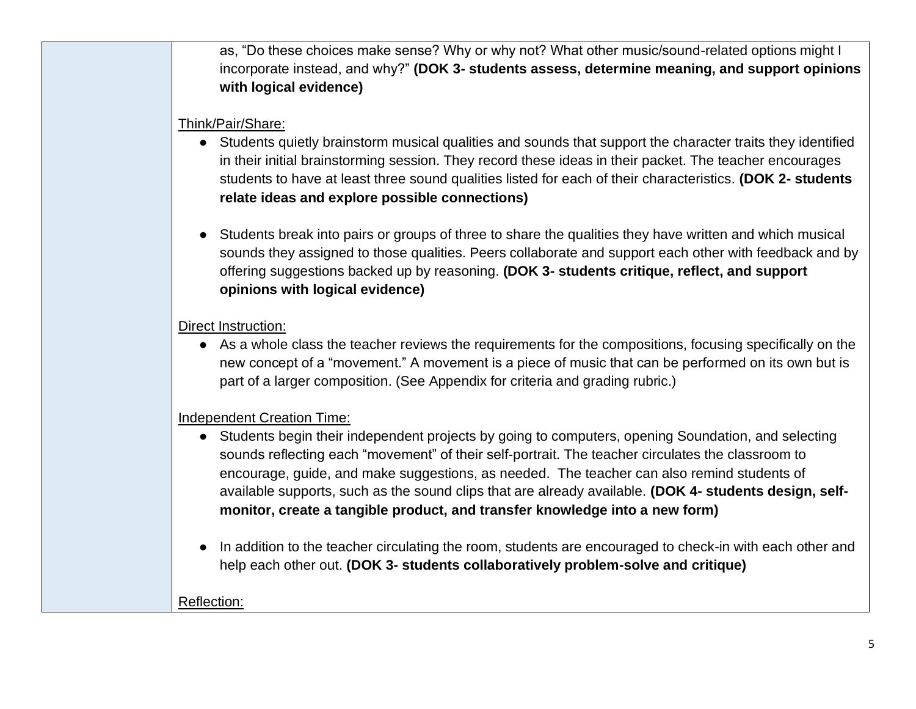as, "Do these choices make sense? Why or why not? What other music/sound-related options might I incorporate instead, and why?" **(DOK 3- students assess, determine meaning, and support opinions with logical evidence)**

### Think/Pair/Share:

- Students quietly brainstorm musical qualities and sounds that support the character traits they identified in their initial brainstorming session. They record these ideas in their packet. The teacher encourages students to have at least three sound qualities listed for each of their characteristics. **(DOK 2- students relate ideas and explore possible connections)**
- Students break into pairs or groups of three to share the qualities they have written and which musical sounds they assigned to those qualities. Peers collaborate and support each other with feedback and by offering suggestions backed up by reasoning. **(DOK 3- students critique, reflect, and support opinions with logical evidence)**

### Direct Instruction:

● As a whole class the teacher reviews the requirements for the compositions, focusing specifically on the new concept of a "movement." A movement is a piece of music that can be performed on its own but is part of a larger composition. (See Appendix for criteria and grading rubric.)

## Independent Creation Time:

- Students begin their independent projects by going to computers, opening Soundation, and selecting sounds reflecting each "movement" of their self-portrait. The teacher circulates the classroom to encourage, guide, and make suggestions, as needed. The teacher can also remind students of available supports, such as the sound clips that are already available. **(DOK 4- students design, selfmonitor, create a tangible product, and transfer knowledge into a new form)**
- In addition to the teacher circulating the room, students are encouraged to check-in with each other and help each other out. **(DOK 3- students collaboratively problem-solve and critique)**

Reflection: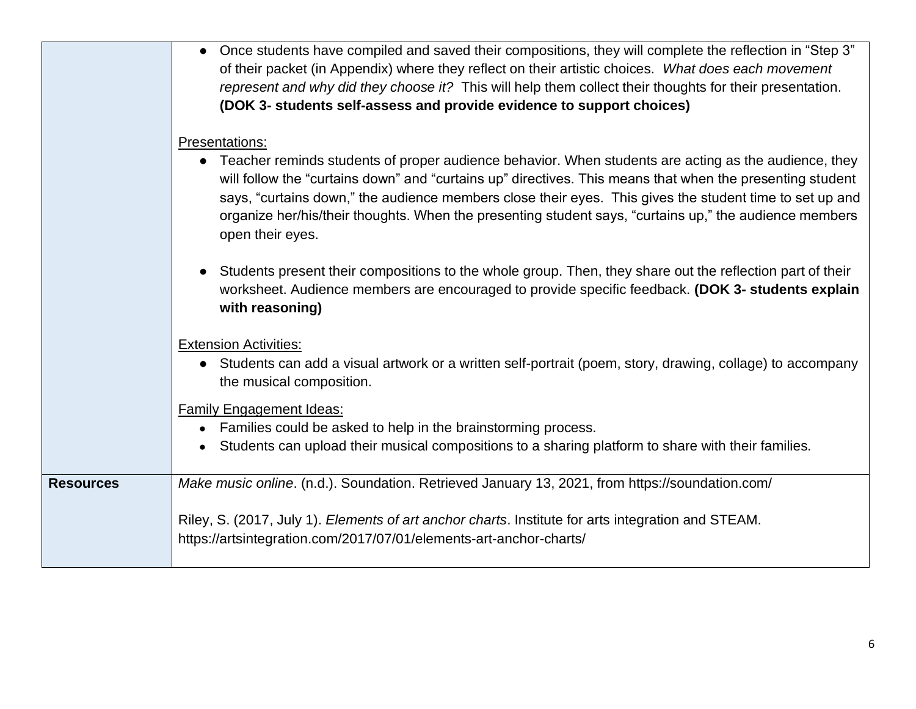|                  | Once students have compiled and saved their compositions, they will complete the reflection in "Step 3"<br>of their packet (in Appendix) where they reflect on their artistic choices. What does each movement<br>represent and why did they choose it? This will help them collect their thoughts for their presentation.<br>(DOK 3- students self-assess and provide evidence to support choices)                                                                                       |
|------------------|-------------------------------------------------------------------------------------------------------------------------------------------------------------------------------------------------------------------------------------------------------------------------------------------------------------------------------------------------------------------------------------------------------------------------------------------------------------------------------------------|
|                  | Presentations:<br>Teacher reminds students of proper audience behavior. When students are acting as the audience, they<br>$\bullet$<br>will follow the "curtains down" and "curtains up" directives. This means that when the presenting student<br>says, "curtains down," the audience members close their eyes. This gives the student time to set up and<br>organize her/his/their thoughts. When the presenting student says, "curtains up," the audience members<br>open their eyes. |
|                  | Students present their compositions to the whole group. Then, they share out the reflection part of their<br>$\bullet$<br>worksheet. Audience members are encouraged to provide specific feedback. (DOK 3- students explain<br>with reasoning)                                                                                                                                                                                                                                            |
|                  | <b>Extension Activities:</b><br>• Students can add a visual artwork or a written self-portrait (poem, story, drawing, collage) to accompany<br>the musical composition.                                                                                                                                                                                                                                                                                                                   |
|                  | <b>Family Engagement Ideas:</b><br>Families could be asked to help in the brainstorming process.<br>$\bullet$<br>Students can upload their musical compositions to a sharing platform to share with their families.                                                                                                                                                                                                                                                                       |
| <b>Resources</b> | Make music online. (n.d.). Soundation. Retrieved January 13, 2021, from https://soundation.com/                                                                                                                                                                                                                                                                                                                                                                                           |
|                  | Riley, S. (2017, July 1). Elements of art anchor charts. Institute for arts integration and STEAM.<br>https://artsintegration.com/2017/07/01/elements-art-anchor-charts/                                                                                                                                                                                                                                                                                                                  |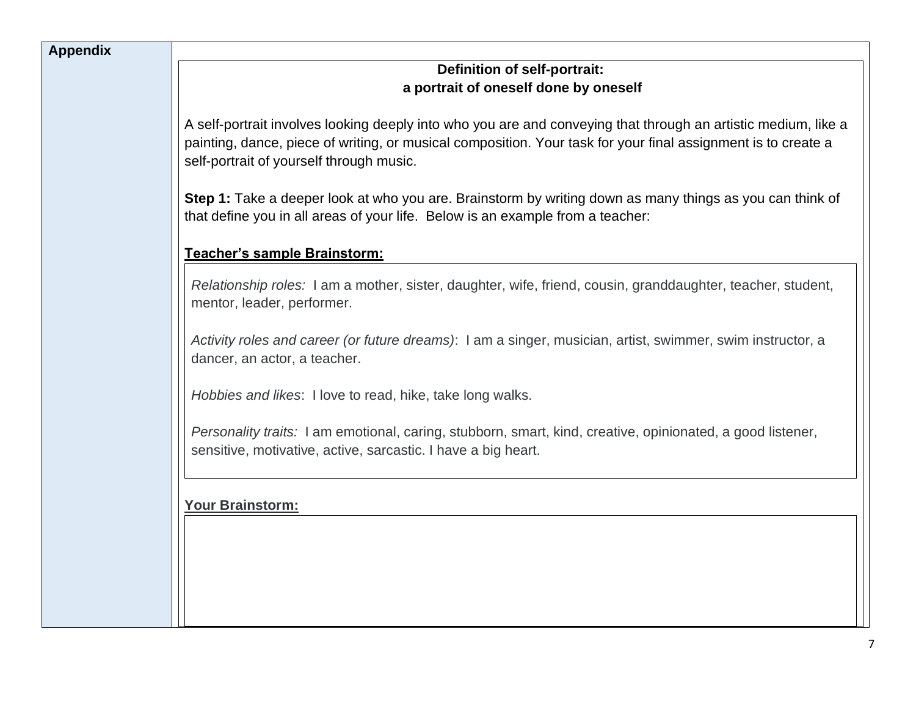| <b>Appendix</b> |                                                                                                                                                                                                                                                                             |
|-----------------|-----------------------------------------------------------------------------------------------------------------------------------------------------------------------------------------------------------------------------------------------------------------------------|
|                 | Definition of self-portrait:                                                                                                                                                                                                                                                |
|                 | a portrait of oneself done by oneself                                                                                                                                                                                                                                       |
|                 | A self-portrait involves looking deeply into who you are and conveying that through an artistic medium, like a<br>painting, dance, piece of writing, or musical composition. Your task for your final assignment is to create a<br>self-portrait of yourself through music. |
|                 | Step 1: Take a deeper look at who you are. Brainstorm by writing down as many things as you can think of<br>that define you in all areas of your life. Below is an example from a teacher:                                                                                  |
|                 | Teacher's sample Brainstorm:                                                                                                                                                                                                                                                |
|                 | Relationship roles: I am a mother, sister, daughter, wife, friend, cousin, granddaughter, teacher, student,<br>mentor, leader, performer.                                                                                                                                   |
|                 | Activity roles and career (or future dreams): I am a singer, musician, artist, swimmer, swim instructor, a<br>dancer, an actor, a teacher.                                                                                                                                  |
|                 | Hobbies and likes: I love to read, hike, take long walks.                                                                                                                                                                                                                   |
|                 | Personality traits: I am emotional, caring, stubborn, smart, kind, creative, opinionated, a good listener,<br>sensitive, motivative, active, sarcastic. I have a big heart.                                                                                                 |
|                 | <b>Your Brainstorm:</b>                                                                                                                                                                                                                                                     |
|                 |                                                                                                                                                                                                                                                                             |
|                 |                                                                                                                                                                                                                                                                             |
|                 |                                                                                                                                                                                                                                                                             |
|                 |                                                                                                                                                                                                                                                                             |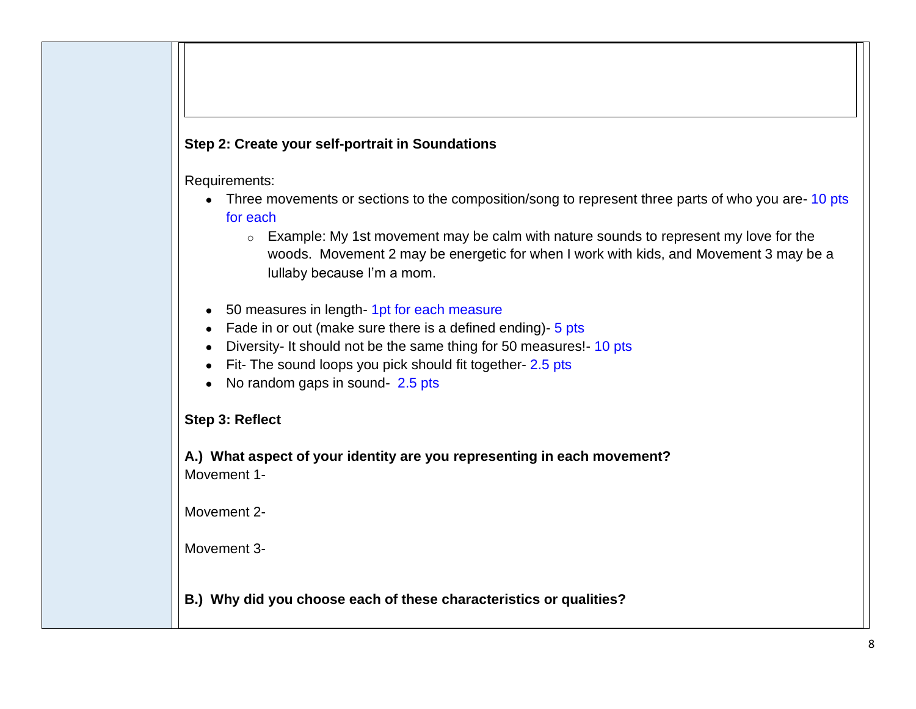# **Step 2: Create your self-portrait in Soundations**

Requirements:

- Three movements or sections to the composition/song to represent three parts of who you are- 10 pts for each
	- o Example: My 1st movement may be calm with nature sounds to represent my love for the woods. Movement 2 may be energetic for when I work with kids, and Movement 3 may be a lullaby because I'm a mom.
- 50 measures in length- 1pt for each measure
- Fade in or out (make sure there is a defined ending)- 5 pts
- Diversity- It should not be the same thing for 50 measures!- 10 pts
- Fit- The sound loops you pick should fit together- 2.5 pts
- No random gaps in sound- 2.5 pts

# **Step 3: Reflect**

**A.) What aspect of your identity are you representing in each movement?** Movement 1-

Movement 2-

Movement 3-

**B.) Why did you choose each of these characteristics or qualities?**